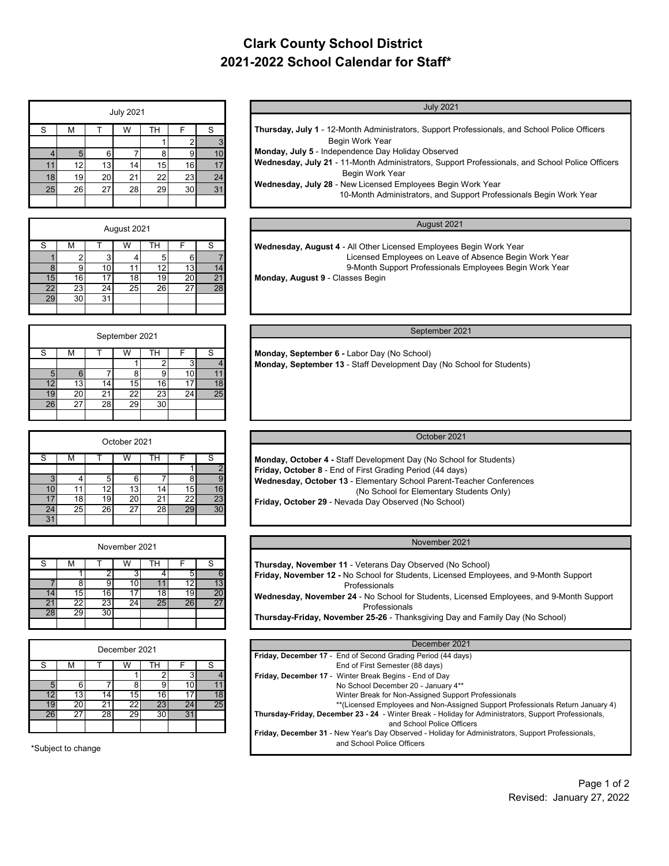# **Clark County School District 2021-2022 School Calendar for Staff\***

| <b>July 2021</b> |    |    |    |    |    |    |  |  |  |  |
|------------------|----|----|----|----|----|----|--|--|--|--|
| S                | M  |    | W  | TН | F  | S  |  |  |  |  |
|                  |    |    |    |    | 2  | 3  |  |  |  |  |
|                  | 5  | 6  |    | 8  | 9  | 10 |  |  |  |  |
| 11               | 12 | 13 | 14 | 15 | 16 | 17 |  |  |  |  |
| 18               | 19 | 20 | 21 | 22 | 23 | 24 |  |  |  |  |
| 25               | 26 | 27 | 28 | 29 | 30 | 31 |  |  |  |  |
|                  |    |    |    |    |    |    |  |  |  |  |

| August 2021                                          | August 2021 |      |    |      |    |    |                 |  |  |  |  |
|------------------------------------------------------|-------------|------|----|------|----|----|-----------------|--|--|--|--|
| Wednesday, August 4 - All Other Licensed Employees E |             |      | TН | W    |    | м  |                 |  |  |  |  |
| Licensed Employees on Leave o                        |             |      |    |      |    |    |                 |  |  |  |  |
| 9-Month Support Professionals I                      | 14          | 13   | 12 |      |    |    |                 |  |  |  |  |
| Monday, August 9 - Classes Begin                     | 21          | 20 I | 19 | 18   |    | 16 | 15              |  |  |  |  |
|                                                      | 28          | 27   | 26 | 25 I | 24 | 23 | 22              |  |  |  |  |
|                                                      |             |      |    |      | 31 | 30 | 29 <sub>1</sub> |  |  |  |  |
|                                                      |             |      |    |      |    |    |                 |  |  |  |  |

| September 2021                                        | September 2021  |    |    |                 |    |                 |    |  |  |  |  |
|-------------------------------------------------------|-----------------|----|----|-----------------|----|-----------------|----|--|--|--|--|
| Monday, September 6 - Labor Day (No School)           | S               |    | тн | W               |    | М               | S  |  |  |  |  |
| Monday, September 13 - Staff Development Day (No Scho |                 |    |    |                 |    |                 |    |  |  |  |  |
|                                                       | 11              | 10 |    |                 |    |                 |    |  |  |  |  |
|                                                       | 18 <sub>1</sub> |    | 16 | 15 <sup>1</sup> | 14 | 13 <sub>l</sub> |    |  |  |  |  |
|                                                       | 25              | 24 | 23 | 221             | 21 | 20 l            | 19 |  |  |  |  |
|                                                       |                 |    | 30 | <b>29</b>       | 28 | 27              | 26 |  |  |  |  |
|                                                       |                 |    |    |                 |    |                 |    |  |  |  |  |

| October 2021                                              | October 2021 |            |           |                 |                 |           |    |  |  |  |
|-----------------------------------------------------------|--------------|------------|-----------|-----------------|-----------------|-----------|----|--|--|--|
| Monday, October 4 - Staff Development Day (No School      | м<br>ıн      |            |           |                 |                 |           |    |  |  |  |
| Friday, October 8 - End of First Grading Period (44 days) |              |            |           |                 |                 |           |    |  |  |  |
| Wednesday, October 13 - Elementary School Parent-Tea      |              |            |           | 6               |                 |           |    |  |  |  |
| (No School for Elementary Stu                             | 16           | 151        | 14.       | 13              | 12              |           |    |  |  |  |
| Friday, October 29 - Nevada Day Observed (No School)      | 23           | 22         | 21        | 20 l            | 19 <sup>1</sup> | 18        |    |  |  |  |
|                                                           | 30           | <b>291</b> | <b>28</b> | 27 <sup>1</sup> | <b>261</b>      | <b>25</b> | 24 |  |  |  |
|                                                           |              |            |           |                 |                 |           | 31 |  |  |  |

| November 2021 |    |    |    |    |    |    |  |  |  |  |  |
|---------------|----|----|----|----|----|----|--|--|--|--|--|
| S             | м  |    | W  | тн |    | S  |  |  |  |  |  |
|               |    |    |    |    |    | 6  |  |  |  |  |  |
|               | с  |    |    |    | 12 | 13 |  |  |  |  |  |
|               | 15 | 16 |    | 18 | 19 | 20 |  |  |  |  |  |
|               | 22 | 23 | 24 | 25 | 26 | 27 |  |  |  |  |  |
| 28            | 29 |    |    |    |    |    |  |  |  |  |  |
|               |    |    |    |    |    |    |  |  |  |  |  |

| December 2021 |    |    |    |    |    |    |  |  |  |  |  |
|---------------|----|----|----|----|----|----|--|--|--|--|--|
| S             | M  |    |    |    |    | S  |  |  |  |  |  |
|               |    |    |    |    |    |    |  |  |  |  |  |
| 5             | F  |    | Ω  |    |    |    |  |  |  |  |  |
|               | Э  |    | 15 | 6  |    | 18 |  |  |  |  |  |
|               | Ζι | 21 | 22 | 23 | 24 | 25 |  |  |  |  |  |
| 26            | 27 | 28 | 29 |    |    |    |  |  |  |  |  |
|               |    |    |    |    |    |    |  |  |  |  |  |

\*Subject to change

| <b>July 2021</b> |    |    |                 |                 | <b>July 2021</b>                                                                                |
|------------------|----|----|-----------------|-----------------|-------------------------------------------------------------------------------------------------|
|                  |    |    |                 |                 |                                                                                                 |
|                  | W  | тн |                 | s               | Thursday, July 1 - 12-Month Administrators, Support Professionals, and School Police Officers   |
|                  |    |    |                 | 3               | Begin Work Year                                                                                 |
|                  |    |    |                 | 10              | Monday, July 5 - Independence Day Holiday Observed                                              |
|                  | 14 | 15 | 16              | 17 <sub>l</sub> | Wednesday, July 21 - 11-Month Administrators, Support Professionals, and School Police Officers |
|                  | 21 | 22 | 23 <sub>l</sub> | 24              | Begin Work Year                                                                                 |
|                  |    |    |                 |                 | Wednesday, July 28 - New Licensed Employees Begin Work Year                                     |
|                  | 28 | 29 | 30 <sup>1</sup> | 311             | 10-Month Administrators, and Support Professionals Begin Work Year                              |
|                  |    |    |                 |                 |                                                                                                 |
|                  |    |    |                 |                 |                                                                                                 |

 **Wednesday, August 4** - All Other Licensed Employees Begin Work Year Licensed Employees on Leave of Absence Begin Work Year 9-Month Support Professionals Employees Begin Work Year **Monday, August 9** - Classes Begin

 **Monday, September 6 -** Labor Day (No School) **Monday, September 13** - Staff Development Day (No School for Students)

 **Monday, October 4 -** Staff Development Day (No School for Students)  **Friday, October 8** - End of First Grading Period (44 days) **Wednesday, October 13** - Elementary School Parent-Teacher Conferences (No School for Elementary Students Only) **Friday, October 29** - Nevada Day Observed (No School)

### November 2021

 **Thursday, November 11** - Veterans Day Observed (No School) **Friday, November 12 -** No School for Students, Licensed Employees, and 9-Month Support Professionals **Wednesday, November 24** - No School for Students, Licensed Employees, and 9-Month Support Professionals **Thursday-Friday, November 25-26** - Thanksgiving Day and Family Day (No School)

| December 2021   |    |                 |    |    | December 2021                                                                                         |
|-----------------|----|-----------------|----|----|-------------------------------------------------------------------------------------------------------|
|                 |    |                 |    |    | Friday, December 17 - End of Second Grading Period (44 days)                                          |
|                 | w  | н               |    |    | End of First Semester (88 days)                                                                       |
|                 |    |                 |    |    | Friday, December 17 - Winter Break Begins - End of Day                                                |
|                 |    |                 |    |    | No School December 20 - January 4**                                                                   |
| 14              | 15 | 16              |    | 18 | Winter Break for Non-Assigned Support Professionals                                                   |
| 21              | 22 | 23              | 24 | 25 | **(Licensed Employees and Non-Assigned Support Professionals Return January 4)                        |
| $\overline{28}$ | 29 | 30 <sup>1</sup> | 31 |    | Thursday-Friday, December 23 - 24 - Winter Break - Holiday for Administrators, Support Professionals, |
|                 |    |                 |    |    | and School Police Officers                                                                            |
|                 |    |                 |    |    | Friday, December 31 - New Year's Day Observed - Holiday for Administrators, Support Professionals,    |
|                 |    |                 |    |    | and School Police Officers                                                                            |
|                 |    |                 |    |    |                                                                                                       |